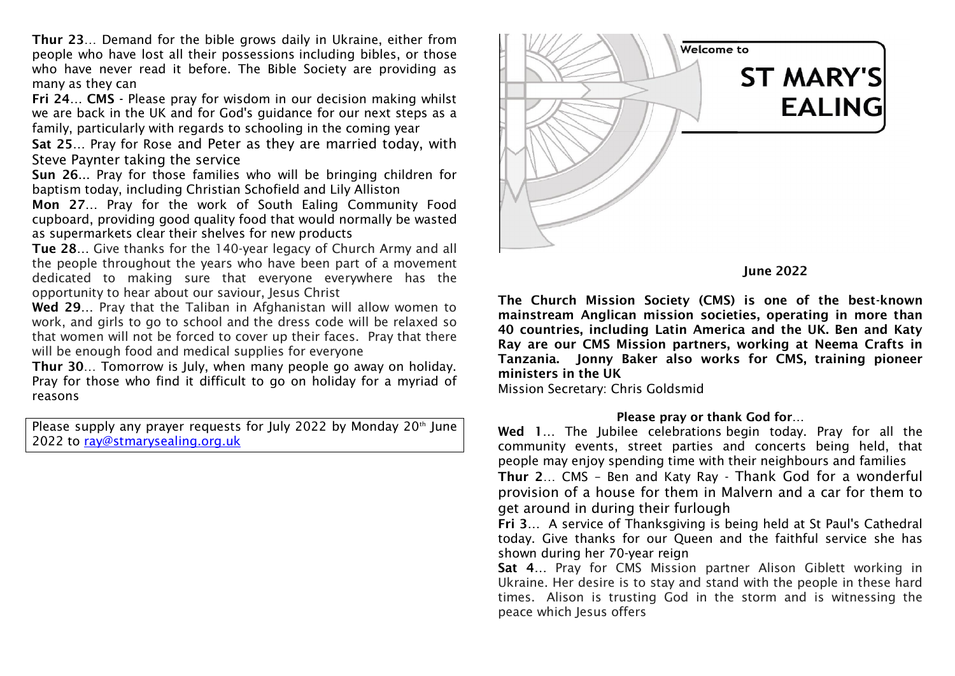**Thur 23**… Demand for the bible grows daily in Ukraine, either from people who have lost all their possessions including bibles, or those who have never read it before. The Bible Society are providing as many as they can

**Fri 24… CMS -** Please pray for wisdom in our decision making whilst we are back in the UK and for God's guidance for our next steps as a family, particularly with regards to schooling in the coming year

**Sat 25…** Pray for Rose and Peter as they are married today, with Steve Paynter taking the service

**Sun 26**... Pray for those families who will be bringing children for baptism today, including Christian Schofield and Lily Alliston

**Mon 27…** Pray for the work of South Ealing Community Food cupboard, providing good quality food that would normally be wasted as supermarkets clear their shelves for new products

**Tue 28…** Give thanks for the 140-year legacy of Church Army and all the people throughout the years who have been part of a movement dedicated to making sure that everyone everywhere has the opportunity to hear about our saviour, Jesus Christ

**Wed 29…** Pray that the Taliban in Afghanistan will allow women to work, and girls to go to school and the dress code will be relaxed so that women will not be forced to cover up their faces. Pray that there will be enough food and medical supplies for everyone

**Thur 30**… Tomorrow is July, when many people go away on holiday. Pray for those who find it difficult to go on holiday for a myriad of reasons

Please supply any prayer requests for July 2022 by Monday 20<sup>th</sup> June 2022 to [ray@stmarysealing.org.uk](about:blank)





**The Church Mission Society (CMS) is one of the best-known mainstream Anglican mission societies, operating in more than 40 countries, including Latin America and the UK. Ben and Katy Ray are our CMS Mission partners, working at Neema Crafts in Tanzania. Jonny Baker also works for CMS, training pioneer ministers in the UK**

Mission Secretary: Chris Goldsmid

## **Please pray or thank God for…**

**Wed 1…** The Jubilee celebrations begin today. Pray for all the community events, street parties and concerts being held, that people may enjoy spending time with their neighbours and families

**Thur 2**… CMS – Ben and Katy Ray - Thank God for a wonderful provision of a house for them in Malvern and a car for them to get around in during their furlough

**Fri 3…** A service of Thanksgiving is being held at St Paul's Cathedral today. Give thanks for our Queen and the faithful service she has shown during her 70-year reign

**Sat 4…** Pray for CMS Mission partner Alison Giblett working in Ukraine. Her desire is to stay and stand with the people in these hard times. Alison is trusting God in the storm and is witnessing the peace which Jesus offers